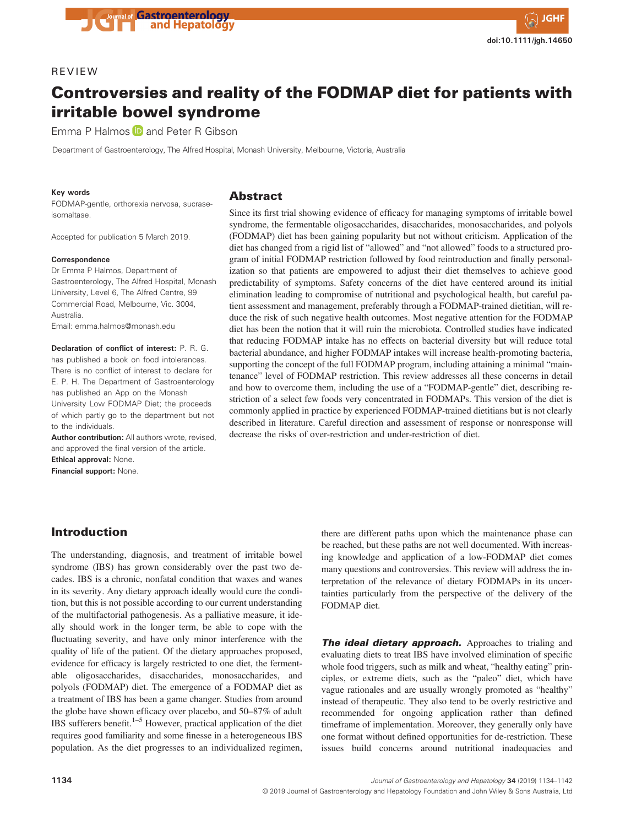## REVIEW

# Controversies and reality of the FODMAP diet for patients with irritable bowel syndrome

Emma P Halmos **D** and Peter R Gibson

Department of Gastroenterology, The Alfred Hospital, Monash University, Melbourne, Victoria, Australia

#### Key words

FODMAP-gentle, orthorexia nervosa, sucraseisomaltase.

Accepted for publication 5 March 2019.

#### **Correspondence**

Dr Emma P Halmos, Department of Gastroenterology, The Alfred Hospital, Monash University, Level 6, The Alfred Centre, 99 Commercial Road, Melbourne, Vic. 3004, Australia.

Email: emma.halmos@monash.edu

Declaration of conflict of interest: P. R. G. has published a book on food intolerances. There is no conflict of interest to declare for E. P. H. The Department of Gastroenterology has published an App on the Monash University Low FODMAP Diet; the proceeds of which partly go to the department but not to the individuals.

Author contribution: All authors wrote, revised, and approved the final version of the article. Ethical approval: None.

Financial support: None.

# Introduction

The understanding, diagnosis, and treatment of irritable bowel syndrome (IBS) has grown considerably over the past two decades. IBS is a chronic, nonfatal condition that waxes and wanes in its severity. Any dietary approach ideally would cure the condition, but this is not possible according to our current understanding of the multifactorial pathogenesis. As a palliative measure, it ideally should work in the longer term, be able to cope with the fluctuating severity, and have only minor interference with the quality of life of the patient. Of the dietary approaches proposed, evidence for efficacy is largely restricted to one diet, the fermentable oligosaccharides, disaccharides, monosaccharides, and polyols (FODMAP) diet. The emergence of a FODMAP diet as a treatment of IBS has been a game changer. Studies from around the globe have shown efficacy over placebo, and 50–87% of adult IBS sufferers benefit.<sup>1–5</sup> However, practical application of the diet requires good familiarity and some finesse in a heterogeneous IBS population. As the diet progresses to an individualized regimen,

# Abstract

Since its first trial showing evidence of efficacy for managing symptoms of irritable bowel syndrome, the fermentable oligosaccharides, disaccharides, monosaccharides, and polyols (FODMAP) diet has been gaining popularity but not without criticism. Application of the diet has changed from a rigid list of "allowed" and "not allowed" foods to a structured program of initial FODMAP restriction followed by food reintroduction and finally personalization so that patients are empowered to adjust their diet themselves to achieve good predictability of symptoms. Safety concerns of the diet have centered around its initial elimination leading to compromise of nutritional and psychological health, but careful patient assessment and management, preferably through a FODMAP-trained dietitian, will reduce the risk of such negative health outcomes. Most negative attention for the FODMAP diet has been the notion that it will ruin the microbiota. Controlled studies have indicated that reducing FODMAP intake has no effects on bacterial diversity but will reduce total bacterial abundance, and higher FODMAP intakes will increase health-promoting bacteria, supporting the concept of the full FODMAP program, including attaining a minimal "maintenance" level of FODMAP restriction. This review addresses all these concerns in detail and how to overcome them, including the use of a "FODMAP-gentle" diet, describing restriction of a select few foods very concentrated in FODMAPs. This version of the diet is commonly applied in practice by experienced FODMAP-trained dietitians but is not clearly described in literature. Careful direction and assessment of response or nonresponse will decrease the risks of over-restriction and under-restriction of diet.

### there are different paths upon which the maintenance phase can be reached, but these paths are not well documented. With increasing knowledge and application of a low-FODMAP diet comes many questions and controversies. This review will address the interpretation of the relevance of dietary FODMAPs in its uncertainties particularly from the perspective of the delivery of the FODMAP diet.

The ideal dietary approach. Approaches to trialing and evaluating diets to treat IBS have involved elimination of specific whole food triggers, such as milk and wheat, "healthy eating" principles, or extreme diets, such as the "paleo" diet, which have vague rationales and are usually wrongly promoted as "healthy" instead of therapeutic. They also tend to be overly restrictive and recommended for ongoing application rather than defined timeframe of implementation. Moreover, they generally only have one format without defined opportunities for de-restriction. These issues build concerns around nutritional inadequacies and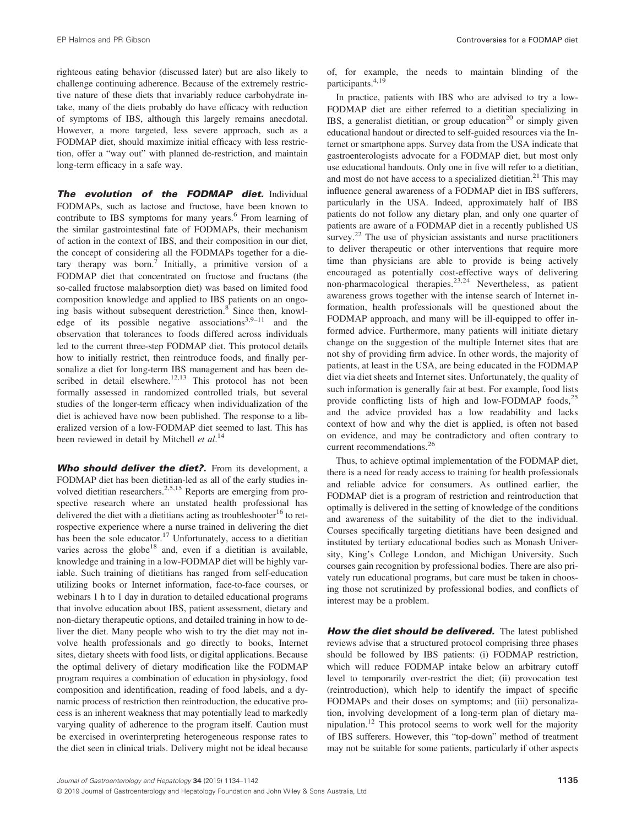righteous eating behavior (discussed later) but are also likely to challenge continuing adherence. Because of the extremely restrictive nature of these diets that invariably reduce carbohydrate intake, many of the diets probably do have efficacy with reduction of symptoms of IBS, although this largely remains anecdotal. However, a more targeted, less severe approach, such as a FODMAP diet, should maximize initial efficacy with less restriction, offer a "way out" with planned de-restriction, and maintain long-term efficacy in a safe way.

The evolution of the FODMAP diet. Individual FODMAPs, such as lactose and fructose, have been known to contribute to IBS symptoms for many years.<sup>6</sup> From learning of the similar gastrointestinal fate of FODMAPs, their mechanism of action in the context of IBS, and their composition in our diet, the concept of considering all the FODMAPs together for a dietary therapy was born.<sup>7</sup> Initially, a primitive version of a FODMAP diet that concentrated on fructose and fructans (the so-called fructose malabsorption diet) was based on limited food composition knowledge and applied to IBS patients on an ongoing basis without subsequent derestriction.<sup>8</sup> Since then, knowledge of its possible negative associations<sup>3,9–11</sup> and the observation that tolerances to foods differed across individuals led to the current three-step FODMAP diet. This protocol details how to initially restrict, then reintroduce foods, and finally personalize a diet for long-term IBS management and has been described in detail elsewhere.<sup>12,13</sup> This protocol has not been formally assessed in randomized controlled trials, but several studies of the longer-term efficacy when individualization of the diet is achieved have now been published. The response to a liberalized version of a low-FODMAP diet seemed to last. This has been reviewed in detail by Mitchell et al.<sup>14</sup>

Who should deliver the diet?. From its development, a FODMAP diet has been dietitian-led as all of the early studies involved dietitian researchers.<sup>2,5,15</sup> Reports are emerging from prospective research where an unstated health professional has delivered the diet with a dietitians acting as troubleshooter<sup>16</sup> to retrospective experience where a nurse trained in delivering the diet has been the sole educator.<sup>17</sup> Unfortunately, access to a dietitian varies across the globe<sup>18</sup> and, even if a dietitian is available, knowledge and training in a low-FODMAP diet will be highly variable. Such training of dietitians has ranged from self-education utilizing books or Internet information, face-to-face courses, or webinars 1 h to 1 day in duration to detailed educational programs that involve education about IBS, patient assessment, dietary and non-dietary therapeutic options, and detailed training in how to deliver the diet. Many people who wish to try the diet may not involve health professionals and go directly to books, Internet sites, dietary sheets with food lists, or digital applications. Because the optimal delivery of dietary modification like the FODMAP program requires a combination of education in physiology, food composition and identification, reading of food labels, and a dynamic process of restriction then reintroduction, the educative process is an inherent weakness that may potentially lead to markedly varying quality of adherence to the program itself. Caution must be exercised in overinterpreting heterogeneous response rates to the diet seen in clinical trials. Delivery might not be ideal because of, for example, the needs to maintain blinding of the participants.4,19

In practice, patients with IBS who are advised to try a low-FODMAP diet are either referred to a dietitian specializing in IBS, a generalist dietitian, or group education<sup>20</sup> or simply given educational handout or directed to self-guided resources via the Internet or smartphone apps. Survey data from the USA indicate that gastroenterologists advocate for a FODMAP diet, but most only use educational handouts. Only one in five will refer to a dietitian, and most do not have access to a specialized dietitian.<sup>21</sup> This may influence general awareness of a FODMAP diet in IBS sufferers, particularly in the USA. Indeed, approximately half of IBS patients do not follow any dietary plan, and only one quarter of patients are aware of a FODMAP diet in a recently published US survey.<sup>22</sup> The use of physician assistants and nurse practitioners to deliver therapeutic or other interventions that require more time than physicians are able to provide is being actively encouraged as potentially cost-effective ways of delivering non-pharmacological therapies.23,24 Nevertheless, as patient awareness grows together with the intense search of Internet information, health professionals will be questioned about the FODMAP approach, and many will be ill-equipped to offer informed advice. Furthermore, many patients will initiate dietary change on the suggestion of the multiple Internet sites that are not shy of providing firm advice. In other words, the majority of patients, at least in the USA, are being educated in the FODMAP diet via diet sheets and Internet sites. Unfortunately, the quality of such information is generally fair at best. For example, food lists provide conflicting lists of high and low-FODMAP foods, $^{25}$ and the advice provided has a low readability and lacks context of how and why the diet is applied, is often not based on evidence, and may be contradictory and often contrary to current recommendations.<sup>26</sup>

Thus, to achieve optimal implementation of the FODMAP diet, there is a need for ready access to training for health professionals and reliable advice for consumers. As outlined earlier, the FODMAP diet is a program of restriction and reintroduction that optimally is delivered in the setting of knowledge of the conditions and awareness of the suitability of the diet to the individual. Courses specifically targeting dietitians have been designed and instituted by tertiary educational bodies such as Monash University, King's College London, and Michigan University. Such courses gain recognition by professional bodies. There are also privately run educational programs, but care must be taken in choosing those not scrutinized by professional bodies, and conflicts of interest may be a problem.

How the diet should be delivered. The latest published reviews advise that a structured protocol comprising three phases should be followed by IBS patients: (i) FODMAP restriction, which will reduce FODMAP intake below an arbitrary cutoff level to temporarily over-restrict the diet; (ii) provocation test (reintroduction), which help to identify the impact of specific FODMAPs and their doses on symptoms; and (iii) personalization, involving development of a long-term plan of dietary manipulation.12 This protocol seems to work well for the majority of IBS sufferers. However, this "top-down" method of treatment may not be suitable for some patients, particularly if other aspects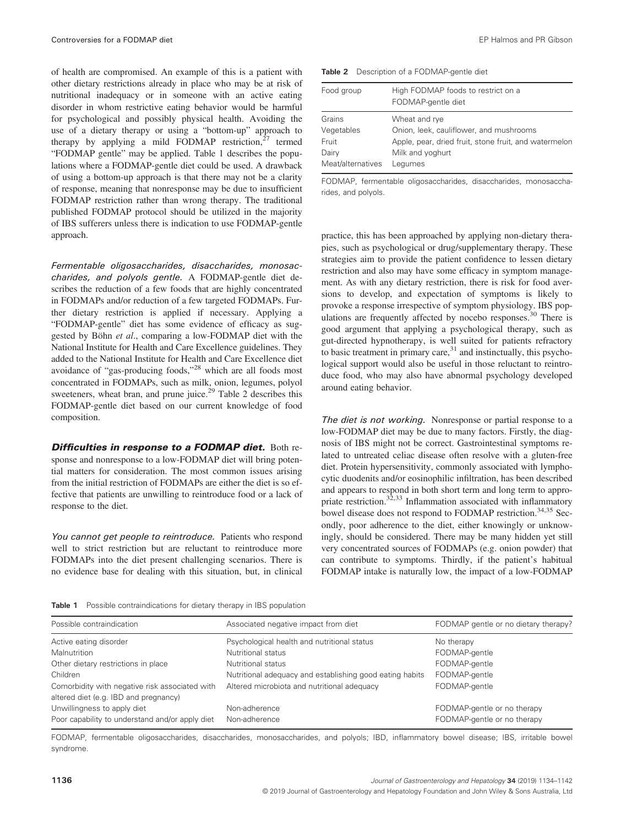of health are compromised. An example of this is a patient with other dietary restrictions already in place who may be at risk of nutritional inadequacy or in someone with an active eating disorder in whom restrictive eating behavior would be harmful for psychological and possibly physical health. Avoiding the use of a dietary therapy or using a "bottom-up" approach to therapy by applying a mild FODMAP restriction, $27$  termed "FODMAP gentle" may be applied. Table 1 describes the populations where a FODMAP-gentle diet could be used. A drawback of using a bottom-up approach is that there may not be a clarity of response, meaning that nonresponse may be due to insufficient FODMAP restriction rather than wrong therapy. The traditional published FODMAP protocol should be utilized in the majority of IBS sufferers unless there is indication to use FODMAP-gentle approach.

Fermentable oligosaccharides, disaccharides, monosaccharides, and polyols gentle. A FODMAP-gentle diet describes the reduction of a few foods that are highly concentrated in FODMAPs and/or reduction of a few targeted FODMAPs. Further dietary restriction is applied if necessary. Applying a "FODMAP-gentle" diet has some evidence of efficacy as suggested by Böhn et al., comparing a low-FODMAP diet with the National Institute for Health and Care Excellence guidelines. They added to the National Institute for Health and Care Excellence diet avoidance of "gas-producing foods,"<sup>28</sup> which are all foods most concentrated in FODMAPs, such as milk, onion, legumes, polyol sweeteners, wheat bran, and prune juice.<sup>29</sup> Table 2 describes this FODMAP-gentle diet based on our current knowledge of food composition.

**Difficulties in response to a FODMAP diet.** Both response and nonresponse to a low-FODMAP diet will bring potential matters for consideration. The most common issues arising from the initial restriction of FODMAPs are either the diet is so effective that patients are unwilling to reintroduce food or a lack of response to the diet.

You cannot get people to reintroduce. Patients who respond well to strict restriction but are reluctant to reintroduce more FODMAPs into the diet present challenging scenarios. There is no evidence base for dealing with this situation, but, in clinical

Table 2 Description of a FODMAP-gentle diet

| Food group                                                  | High FODMAP foods to restrict on a<br>FODMAP-gentle diet                                                                                         |
|-------------------------------------------------------------|--------------------------------------------------------------------------------------------------------------------------------------------------|
| Grains<br>Vegetables<br>Fruit<br>Dairy<br>Meat/alternatives | Wheat and rye<br>Onion, leek, cauliflower, and mushrooms<br>Apple, pear, dried fruit, stone fruit, and watermelon<br>Milk and yoghurt<br>Legumes |

FODMAP, fermentable oligosaccharides, disaccharides, monosaccharides, and polyols.

practice, this has been approached by applying non-dietary therapies, such as psychological or drug/supplementary therapy. These strategies aim to provide the patient confidence to lessen dietary restriction and also may have some efficacy in symptom management. As with any dietary restriction, there is risk for food aversions to develop, and expectation of symptoms is likely to provoke a response irrespective of symptom physiology. IBS populations are frequently affected by nocebo responses. $30$  There is good argument that applying a psychological therapy, such as gut-directed hypnotherapy, is well suited for patients refractory to basic treatment in primary care, $31$  and instinctually, this psychological support would also be useful in those reluctant to reintroduce food, who may also have abnormal psychology developed around eating behavior.

The diet is not working. Nonresponse or partial response to a low-FODMAP diet may be due to many factors. Firstly, the diagnosis of IBS might not be correct. Gastrointestinal symptoms related to untreated celiac disease often resolve with a gluten-free diet. Protein hypersensitivity, commonly associated with lymphocytic duodenits and/or eosinophilic infiltration, has been described and appears to respond in both short term and long term to appropriate restriction. $32,33$  Inflammation associated with inflammatory bowel disease does not respond to FODMAP restriction.<sup>34,35</sup> Secondly, poor adherence to the diet, either knowingly or unknowingly, should be considered. There may be many hidden yet still very concentrated sources of FODMAPs (e.g. onion powder) that can contribute to symptoms. Thirdly, if the patient's habitual FODMAP intake is naturally low, the impact of a low-FODMAP

Table 1 Possible contraindications for dietary therapy in IBS population

| Possible contraindication                                                               | Associated negative impact from diet                     | FODMAP gentle or no dietary therapy?                       |
|-----------------------------------------------------------------------------------------|----------------------------------------------------------|------------------------------------------------------------|
| Active eating disorder                                                                  | Psychological health and nutritional status              | No therapy                                                 |
| Malnutrition                                                                            | Nutritional status                                       | FODMAP-gentle                                              |
| Other dietary restrictions in place                                                     | Nutritional status                                       | FODMAP-gentle                                              |
| Children                                                                                | Nutritional adequacy and establishing good eating habits | FODMAP-gentle                                              |
| Comorbidity with negative risk associated with<br>altered diet (e.g. IBD and pregnancy) | Altered microbiota and nutritional adequacy              | FODMAP-gentle                                              |
| Unwillingness to apply diet<br>Poor capability to understand and/or apply diet          | Non-adherence<br>Non-adherence                           | FODMAP-gentle or no therapy<br>FODMAP-gentle or no therapy |

FODMAP, fermentable oligosaccharides, disaccharides, monosaccharides, and polyols; IBD, inflammatory bowel disease; IBS, irritable bowel syndrome.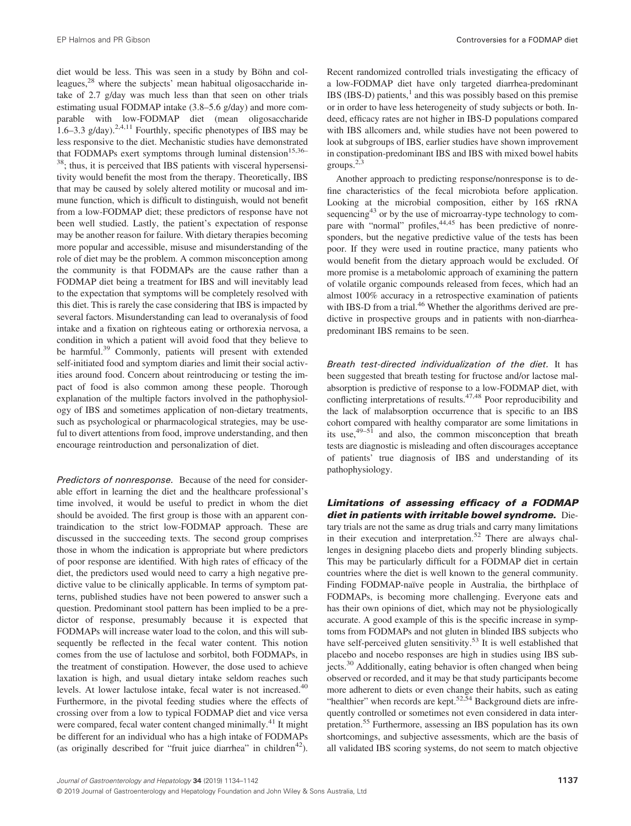EP Halmos and PR Gibson Controversies for a FODMAP diet

diet would be less. This was seen in a study by Böhn and colleagues,<sup>28</sup> where the subjects' mean habitual oligosaccharide intake of 2.7 g/day was much less than that seen on other trials estimating usual FODMAP intake (3.8–5.6 g/day) and more comparable with low-FODMAP diet (mean oligosaccharide 1.6–3.3 g/day).<sup>2,4,11</sup> Fourthly, specific phenotypes of IBS may be less responsive to the diet. Mechanistic studies have demonstrated that FODMAPs exert symptoms through luminal distension<sup>15,36–</sup> <sup>38</sup>; thus, it is perceived that IBS patients with visceral hypersensitivity would benefit the most from the therapy. Theoretically, IBS that may be caused by solely altered motility or mucosal and immune function, which is difficult to distinguish, would not benefit from a low-FODMAP diet; these predictors of response have not been well studied. Lastly, the patient's expectation of response may be another reason for failure. With dietary therapies becoming more popular and accessible, misuse and misunderstanding of the role of diet may be the problem. A common misconception among the community is that FODMAPs are the cause rather than a FODMAP diet being a treatment for IBS and will inevitably lead to the expectation that symptoms will be completely resolved with this diet. This is rarely the case considering that IBS is impacted by several factors. Misunderstanding can lead to overanalysis of food intake and a fixation on righteous eating or orthorexia nervosa, a condition in which a patient will avoid food that they believe to be harmful.<sup>39</sup> Commonly, patients will present with extended self-initiated food and symptom diaries and limit their social activities around food. Concern about reintroducing or testing the impact of food is also common among these people. Thorough explanation of the multiple factors involved in the pathophysiology of IBS and sometimes application of non-dietary treatments, such as psychological or pharmacological strategies, may be useful to divert attentions from food, improve understanding, and then encourage reintroduction and personalization of diet.

Predictors of nonresponse. Because of the need for considerable effort in learning the diet and the healthcare professional's time involved, it would be useful to predict in whom the diet should be avoided. The first group is those with an apparent contraindication to the strict low-FODMAP approach. These are discussed in the succeeding texts. The second group comprises those in whom the indication is appropriate but where predictors of poor response are identified. With high rates of efficacy of the diet, the predictors used would need to carry a high negative predictive value to be clinically applicable. In terms of symptom patterns, published studies have not been powered to answer such a question. Predominant stool pattern has been implied to be a predictor of response, presumably because it is expected that FODMAPs will increase water load to the colon, and this will subsequently be reflected in the fecal water content. This notion comes from the use of lactulose and sorbitol, both FODMAPs, in the treatment of constipation. However, the dose used to achieve laxation is high, and usual dietary intake seldom reaches such levels. At lower lactulose intake, fecal water is not increased.<sup>40</sup> Furthermore, in the pivotal feeding studies where the effects of crossing over from a low to typical FODMAP diet and vice versa were compared, fecal water content changed minimally.<sup>41</sup> It might be different for an individual who has a high intake of FODMAPs (as originally described for "fruit juice diarrhea" in children<sup>42</sup>). Recent randomized controlled trials investigating the efficacy of a low-FODMAP diet have only targeted diarrhea-predominant IBS (IBS-D) patients, $<sup>1</sup>$  and this was possibly based on this premise</sup> or in order to have less heterogeneity of study subjects or both. Indeed, efficacy rates are not higher in IBS-D populations compared with IBS allcomers and, while studies have not been powered to look at subgroups of IBS, earlier studies have shown improvement in constipation-predominant IBS and IBS with mixed bowel habits groups. $2,3$ 

Another approach to predicting response/nonresponse is to define characteristics of the fecal microbiota before application. Looking at the microbial composition, either by 16S rRNA sequencing $43$  or by the use of microarray-type technology to compare with "normal" profiles, <sup>44,45</sup> has been predictive of nonresponders, but the negative predictive value of the tests has been poor. If they were used in routine practice, many patients who would benefit from the dietary approach would be excluded. Of more promise is a metabolomic approach of examining the pattern of volatile organic compounds released from feces, which had an almost 100% accuracy in a retrospective examination of patients with IBS-D from a trial.<sup>46</sup> Whether the algorithms derived are predictive in prospective groups and in patients with non-diarrheapredominant IBS remains to be seen.

Breath test-directed individualization of the diet. It has been suggested that breath testing for fructose and/or lactose malabsorption is predictive of response to a low-FODMAP diet, with conflicting interpretations of results.<sup>47,48</sup> Poor reproducibility and the lack of malabsorption occurrence that is specific to an IBS cohort compared with healthy comparator are some limitations in its use,  $49-51$  and also, the common misconception that breath tests are diagnostic is misleading and often discourages acceptance of patients' true diagnosis of IBS and understanding of its pathophysiology.

Limitations of assessing efficacy of a FODMAP diet in patients with irritable bowel syndrome. Dietary trials are not the same as drug trials and carry many limitations in their execution and interpretation.<sup>52</sup> There are always challenges in designing placebo diets and properly blinding subjects. This may be particularly difficult for a FODMAP diet in certain countries where the diet is well known to the general community. Finding FODMAP-naïve people in Australia, the birthplace of FODMAPs, is becoming more challenging. Everyone eats and has their own opinions of diet, which may not be physiologically accurate. A good example of this is the specific increase in symptoms from FODMAPs and not gluten in blinded IBS subjects who have self-perceived gluten sensitivity.<sup>53</sup> It is well established that placebo and nocebo responses are high in studies using IBS subjects.<sup>30</sup> Additionally, eating behavior is often changed when being observed or recorded, and it may be that study participants become more adherent to diets or even change their habits, such as eating "healthier" when records are kept.<sup>52,54</sup> Background diets are infrequently controlled or sometimes not even considered in data interpretation.55 Furthermore, assessing an IBS population has its own shortcomings, and subjective assessments, which are the basis of all validated IBS scoring systems, do not seem to match objective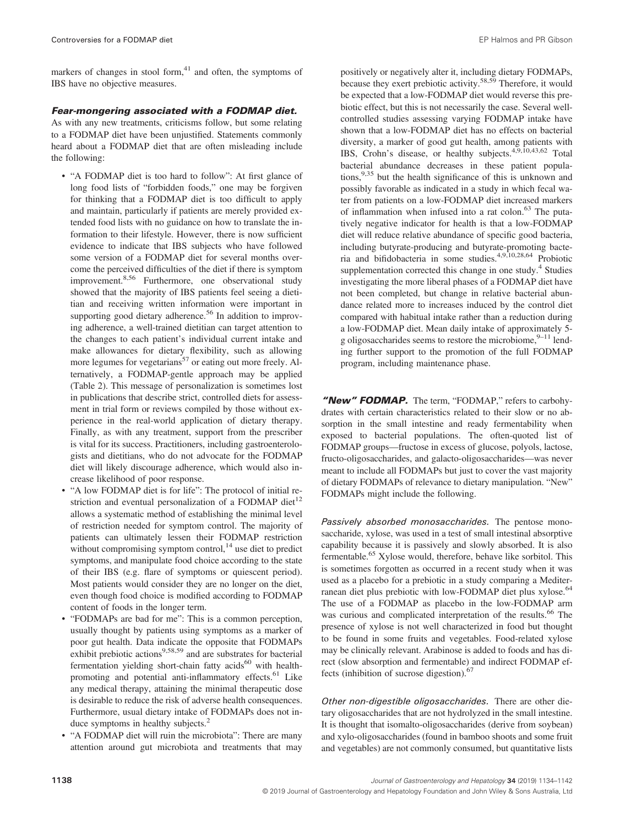markers of changes in stool form, $41$  and often, the symptoms of IBS have no objective measures.

#### Fear-mongering associated with a FODMAP diet.

As with any new treatments, criticisms follow, but some relating to a FODMAP diet have been unjustified. Statements commonly heard about a FODMAP diet that are often misleading include the following:

- "A FODMAP diet is too hard to follow": At first glance of long food lists of "forbidden foods," one may be forgiven for thinking that a FODMAP diet is too difficult to apply and maintain, particularly if patients are merely provided extended food lists with no guidance on how to translate the information to their lifestyle. However, there is now sufficient evidence to indicate that IBS subjects who have followed some version of a FODMAP diet for several months overcome the perceived difficulties of the diet if there is symptom improvement.<sup>8,56</sup> Furthermore, one observational study showed that the majority of IBS patients feel seeing a dietitian and receiving written information were important in supporting good dietary adherence.<sup>56</sup> In addition to improving adherence, a well-trained dietitian can target attention to the changes to each patient's individual current intake and make allowances for dietary flexibility, such as allowing more legumes for vegetarians<sup>57</sup> or eating out more freely. Alternatively, a FODMAP-gentle approach may be applied (Table 2). This message of personalization is sometimes lost in publications that describe strict, controlled diets for assessment in trial form or reviews compiled by those without experience in the real-world application of dietary therapy. Finally, as with any treatment, support from the prescriber is vital for its success. Practitioners, including gastroenterologists and dietitians, who do not advocate for the FODMAP diet will likely discourage adherence, which would also increase likelihood of poor response.
- "A low FODMAP diet is for life": The protocol of initial restriction and eventual personalization of a FODMAP diet<sup>12</sup> allows a systematic method of establishing the minimal level of restriction needed for symptom control. The majority of patients can ultimately lessen their FODMAP restriction without compromising symptom control, $14$  use diet to predict symptoms, and manipulate food choice according to the state of their IBS (e.g. flare of symptoms or quiescent period). Most patients would consider they are no longer on the diet, even though food choice is modified according to FODMAP content of foods in the longer term.
- "FODMAPs are bad for me": This is a common perception, usually thought by patients using symptoms as a marker of poor gut health. Data indicate the opposite that FODMAPs exhibit prebiotic actions<sup>9,58,59</sup> and are substrates for bacterial fermentation yielding short-chain fatty  $acids^{60}$  with healthpromoting and potential anti-inflammatory effects.<sup>61</sup> Like any medical therapy, attaining the minimal therapeutic dose is desirable to reduce the risk of adverse health consequences. Furthermore, usual dietary intake of FODMAPs does not induce symptoms in healthy subjects.<sup>2</sup>
- "A FODMAP diet will ruin the microbiota": There are many attention around gut microbiota and treatments that may

positively or negatively alter it, including dietary FODMAPs, because they exert prebiotic activity.<sup>58,59</sup> Therefore, it would be expected that a low-FODMAP diet would reverse this prebiotic effect, but this is not necessarily the case. Several wellcontrolled studies assessing varying FODMAP intake have shown that a low-FODMAP diet has no effects on bacterial diversity, a marker of good gut health, among patients with IBS, Crohn's disease, or healthy subjects.<sup>4,9,10,43,62</sup> Total bacterial abundance decreases in these patient populations,  $9,35$  but the health significance of this is unknown and possibly favorable as indicated in a study in which fecal water from patients on a low-FODMAP diet increased markers of inflammation when infused into a rat colon.<sup>63</sup> The putatively negative indicator for health is that a low-FODMAP diet will reduce relative abundance of specific good bacteria, including butyrate-producing and butyrate-promoting bacteria and bifidobacteria in some studies.4,9,10,28,64 Probiotic supplementation corrected this change in one study. $4$  Studies investigating the more liberal phases of a FODMAP diet have not been completed, but change in relative bacterial abundance related more to increases induced by the control diet compared with habitual intake rather than a reduction during a low-FODMAP diet. Mean daily intake of approximately 5 g oligosaccharides seems to restore the microbiome, $9-11$  lending further support to the promotion of the full FODMAP program, including maintenance phase.

"New" FODMAP. The term, "FODMAP," refers to carbohydrates with certain characteristics related to their slow or no absorption in the small intestine and ready fermentability when exposed to bacterial populations. The often-quoted list of FODMAP groups—fructose in excess of glucose, polyols, lactose, fructo-oligosaccharides, and galacto-oligosaccharides—was never meant to include all FODMAPs but just to cover the vast majority of dietary FODMAPs of relevance to dietary manipulation. "New" FODMAPs might include the following.

Passively absorbed monosaccharides. The pentose monosaccharide, xylose, was used in a test of small intestinal absorptive capability because it is passively and slowly absorbed. It is also fermentable.<sup>65</sup> Xylose would, therefore, behave like sorbitol. This is sometimes forgotten as occurred in a recent study when it was used as a placebo for a prebiotic in a study comparing a Mediterranean diet plus prebiotic with low-FODMAP diet plus xylose.<sup>64</sup> The use of a FODMAP as placebo in the low-FODMAP arm was curious and complicated interpretation of the results.<sup>66</sup> The presence of xylose is not well characterized in food but thought to be found in some fruits and vegetables. Food-related xylose may be clinically relevant. Arabinose is added to foods and has direct (slow absorption and fermentable) and indirect FODMAP effects (inhibition of sucrose digestion). $67$ 

Other non-digestible oligosaccharides. There are other dietary oligosaccharides that are not hydrolyzed in the small intestine. It is thought that isomalto-oligosaccharides (derive from soybean) and xylo-oligosaccharides (found in bamboo shoots and some fruit and vegetables) are not commonly consumed, but quantitative lists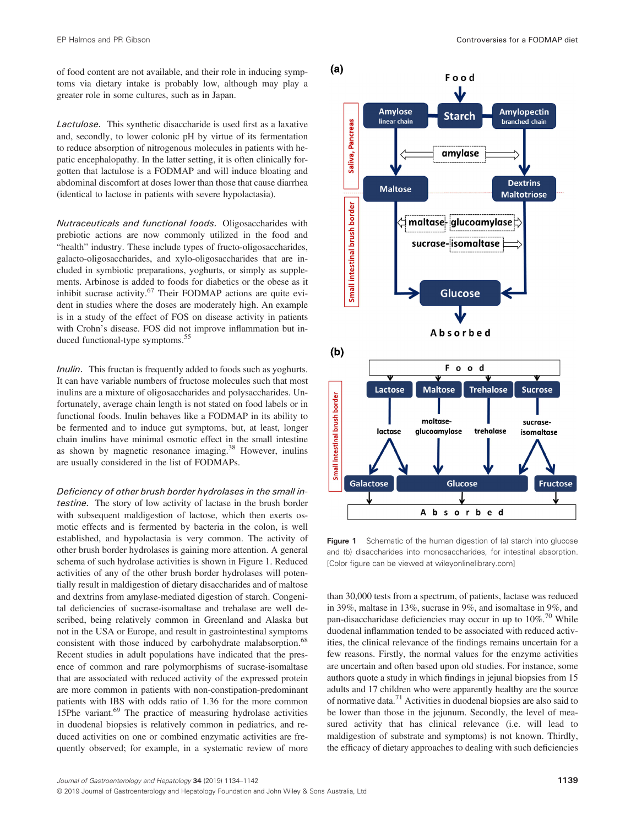of food content are not available, and their role in inducing symptoms via dietary intake is probably low, although may play a greater role in some cultures, such as in Japan.

Lactulose. This synthetic disaccharide is used first as a laxative and, secondly, to lower colonic pH by virtue of its fermentation to reduce absorption of nitrogenous molecules in patients with hepatic encephalopathy. In the latter setting, it is often clinically forgotten that lactulose is a FODMAP and will induce bloating and abdominal discomfort at doses lower than those that cause diarrhea (identical to lactose in patients with severe hypolactasia).

Nutraceuticals and functional foods. Oligosaccharides with prebiotic actions are now commonly utilized in the food and "health" industry. These include types of fructo-oligosaccharides, galacto-oligosaccharides, and xylo-oligosaccharides that are included in symbiotic preparations, yoghurts, or simply as supplements. Arbinose is added to foods for diabetics or the obese as it inhibit sucrase activity.<sup>67</sup> Their FODMAP actions are quite evident in studies where the doses are moderately high. An example is in a study of the effect of FOS on disease activity in patients with Crohn's disease. FOS did not improve inflammation but induced functional-type symptoms.<sup>55</sup>

*Inulin.* This fructan is frequently added to foods such as yoghurts. It can have variable numbers of fructose molecules such that most inulins are a mixture of oligosaccharides and polysaccharides. Unfortunately, average chain length is not stated on food labels or in functional foods. Inulin behaves like a FODMAP in its ability to be fermented and to induce gut symptoms, but, at least, longer chain inulins have minimal osmotic effect in the small intestine as shown by magnetic resonance imaging.38 However, inulins are usually considered in the list of FODMAPs.

Deficiency of other brush border hydrolases in the small intestine. The story of low activity of lactase in the brush border with subsequent maldigestion of lactose, which then exerts osmotic effects and is fermented by bacteria in the colon, is well established, and hypolactasia is very common. The activity of other brush border hydrolases is gaining more attention. A general schema of such hydrolase activities is shown in Figure 1. Reduced activities of any of the other brush border hydrolases will potentially result in maldigestion of dietary disaccharides and of maltose and dextrins from amylase-mediated digestion of starch. Congenital deficiencies of sucrase-isomaltase and trehalase are well described, being relatively common in Greenland and Alaska but not in the USA or Europe, and result in gastrointestinal symptoms consistent with those induced by carbohydrate malabsorption.<sup>68</sup> Recent studies in adult populations have indicated that the presence of common and rare polymorphisms of sucrase-isomaltase that are associated with reduced activity of the expressed protein are more common in patients with non-constipation-predominant patients with IBS with odds ratio of 1.36 for the more common 15Phe variant.<sup>69</sup> The practice of measuring hydrolase activities in duodenal biopsies is relatively common in pediatrics, and reduced activities on one or combined enzymatic activities are frequently observed; for example, in a systematic review of more



Figure 1 Schematic of the human digestion of (a) starch into glucose and (b) disaccharides into monosaccharides, for intestinal absorption. [Color figure can be viewed at [wileyonlinelibrary.com](http://wileyonlinelibrary.com)]

than 30,000 tests from a spectrum, of patients, lactase was reduced in 39%, maltase in 13%, sucrase in 9%, and isomaltase in 9%, and pan-disaccharidase deficiencies may occur in up to  $10\%$ .<sup>70</sup> While duodenal inflammation tended to be associated with reduced activities, the clinical relevance of the findings remains uncertain for a few reasons. Firstly, the normal values for the enzyme activities are uncertain and often based upon old studies. For instance, some authors quote a study in which findings in jejunal biopsies from 15 adults and 17 children who were apparently healthy are the source of normative data.<sup>71</sup> Activities in duodenal biopsies are also said to be lower than those in the jejunum. Secondly, the level of measured activity that has clinical relevance (i.e. will lead to maldigestion of substrate and symptoms) is not known. Thirdly, the efficacy of dietary approaches to dealing with such deficiencies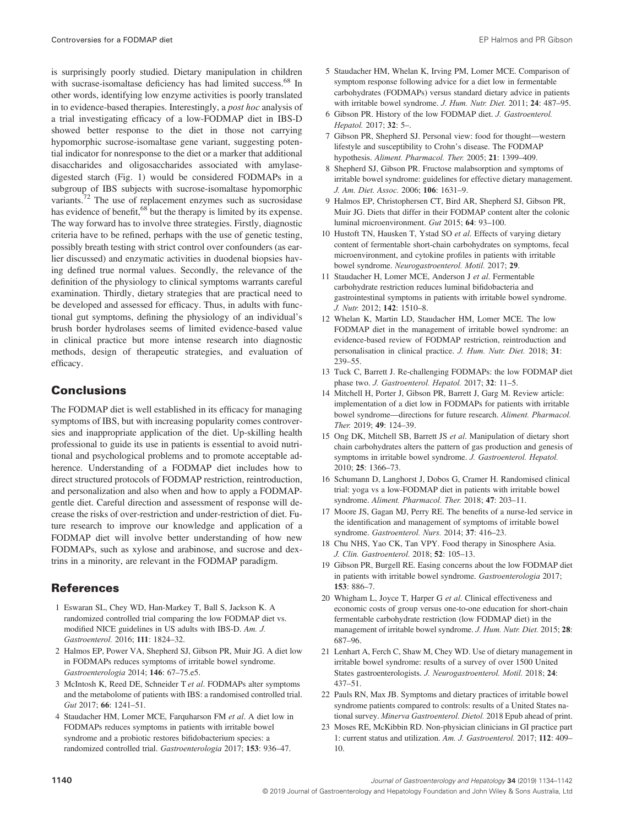is surprisingly poorly studied. Dietary manipulation in children with sucrase-isomaltase deficiency has had limited success.<sup>68</sup> In other words, identifying low enzyme activities is poorly translated in to evidence-based therapies. Interestingly, a post hoc analysis of a trial investigating efficacy of a low-FODMAP diet in IBS-D showed better response to the diet in those not carrying hypomorphic sucrose-isomaltase gene variant, suggesting potential indicator for nonresponse to the diet or a marker that additional disaccharides and oligosaccharides associated with amylasedigested starch (Fig. 1) would be considered FODMAPs in a subgroup of IBS subjects with sucrose-isomaltase hypomorphic variants.<sup>72</sup> The use of replacement enzymes such as sucrosidase has evidence of benefit,<sup>68</sup> but the therapy is limited by its expense. The way forward has to involve three strategies. Firstly, diagnostic criteria have to be refined, perhaps with the use of genetic testing, possibly breath testing with strict control over confounders (as earlier discussed) and enzymatic activities in duodenal biopsies having defined true normal values. Secondly, the relevance of the definition of the physiology to clinical symptoms warrants careful examination. Thirdly, dietary strategies that are practical need to be developed and assessed for efficacy. Thus, in adults with functional gut symptoms, defining the physiology of an individual's brush border hydrolases seems of limited evidence-based value in clinical practice but more intense research into diagnostic methods, design of therapeutic strategies, and evaluation of efficacy.

### **Conclusions**

The FODMAP diet is well established in its efficacy for managing symptoms of IBS, but with increasing popularity comes controversies and inappropriate application of the diet. Up-skilling health professional to guide its use in patients is essential to avoid nutritional and psychological problems and to promote acceptable adherence. Understanding of a FODMAP diet includes how to direct structured protocols of FODMAP restriction, reintroduction, and personalization and also when and how to apply a FODMAPgentle diet. Careful direction and assessment of response will decrease the risks of over-restriction and under-restriction of diet. Future research to improve our knowledge and application of a FODMAP diet will involve better understanding of how new FODMAPs, such as xylose and arabinose, and sucrose and dextrins in a minority, are relevant in the FODMAP paradigm.

### References

- 1 Eswaran SL, Chey WD, Han-Markey T, Ball S, Jackson K. A randomized controlled trial comparing the low FODMAP diet vs. modified NICE guidelines in US adults with IBS-D. Am. J. Gastroenterol. 2016; 111: 1824–32.
- 2 Halmos EP, Power VA, Shepherd SJ, Gibson PR, Muir JG. A diet low in FODMAPs reduces symptoms of irritable bowel syndrome. Gastroenterologia 2014; 146: 67–75.e5.
- 3 McIntosh K, Reed DE, Schneider T et al. FODMAPs alter symptoms and the metabolome of patients with IBS: a randomised controlled trial. Gut 2017; 66: 1241-51.
- 4 Staudacher HM, Lomer MCE, Farquharson FM et al. A diet low in FODMAPs reduces symptoms in patients with irritable bowel syndrome and a probiotic restores bifidobacterium species: a randomized controlled trial. Gastroenterologia 2017; 153: 936–47.
- 5 Staudacher HM, Whelan K, Irving PM, Lomer MCE. Comparison of symptom response following advice for a diet low in fermentable carbohydrates (FODMAPs) versus standard dietary advice in patients with irritable bowel syndrome. J. Hum. Nutr. Diet. 2011; 24: 487-95.
- 6 Gibson PR. History of the low FODMAP diet. J. Gastroenterol. Hepatol. 2017; 32: 5–.
- 7 Gibson PR, Shepherd SJ. Personal view: food for thought—western lifestyle and susceptibility to Crohn's disease. The FODMAP hypothesis. Aliment. Pharmacol. Ther. 2005; 21: 1399–409.
- 8 Shepherd SJ, Gibson PR. Fructose malabsorption and symptoms of irritable bowel syndrome: guidelines for effective dietary management. J. Am. Diet. Assoc. 2006; 106: 1631–9.
- 9 Halmos EP, Christophersen CT, Bird AR, Shepherd SJ, Gibson PR, Muir JG. Diets that differ in their FODMAP content alter the colonic luminal microenvironment. Gut 2015; 64: 93–100.
- 10 Hustoft TN, Hausken T, Ystad SO et al. Effects of varying dietary content of fermentable short-chain carbohydrates on symptoms, fecal microenvironment, and cytokine profiles in patients with irritable bowel syndrome. Neurogastroenterol. Motil. 2017; 29.
- 11 Staudacher H, Lomer MCE, Anderson J et al. Fermentable carbohydrate restriction reduces luminal bifidobacteria and gastrointestinal symptoms in patients with irritable bowel syndrome. J. Nutr. 2012; 142: 1510–8.
- 12 Whelan K, Martin LD, Staudacher HM, Lomer MCE. The low FODMAP diet in the management of irritable bowel syndrome: an evidence-based review of FODMAP restriction, reintroduction and personalisation in clinical practice. J. Hum. Nutr. Diet. 2018; 31: 239–55.
- 13 Tuck C, Barrett J. Re-challenging FODMAPs: the low FODMAP diet phase two. J. Gastroenterol. Hepatol. 2017; 32: 11-5.
- 14 Mitchell H, Porter J, Gibson PR, Barrett J, Garg M. Review article: implementation of a diet low in FODMAPs for patients with irritable bowel syndrome—directions for future research. Aliment. Pharmacol. Ther. 2019; 49: 124–39.
- 15 Ong DK, Mitchell SB, Barrett JS et al. Manipulation of dietary short chain carbohydrates alters the pattern of gas production and genesis of symptoms in irritable bowel syndrome. J. Gastroenterol. Hepatol. 2010; 25: 1366–73.
- 16 Schumann D, Langhorst J, Dobos G, Cramer H. Randomised clinical trial: yoga vs a low-FODMAP diet in patients with irritable bowel syndrome. Aliment. Pharmacol. Ther. 2018; 47: 203–11.
- 17 Moore JS, Gagan MJ, Perry RE. The benefits of a nurse-led service in the identification and management of symptoms of irritable bowel syndrome. Gastroenterol. Nurs. 2014; 37: 416–23.
- 18 Chu NHS, Yao CK, Tan VPY. Food therapy in Sinosphere Asia. J. Clin. Gastroenterol. 2018; 52: 105–13.
- 19 Gibson PR, Burgell RE. Easing concerns about the low FODMAP diet in patients with irritable bowel syndrome. Gastroenterologia 2017; 153: 886–7.
- 20 Whigham L, Joyce T, Harper G et al. Clinical effectiveness and economic costs of group versus one-to-one education for short-chain fermentable carbohydrate restriction (low FODMAP diet) in the management of irritable bowel syndrome. J. Hum. Nutr. Diet. 2015; 28: 687–96.
- 21 Lenhart A, Ferch C, Shaw M, Chey WD. Use of dietary management in irritable bowel syndrome: results of a survey of over 1500 United States gastroenterologists. J. Neurogastroenterol. Motil. 2018; 24: 437–51.
- 22 Pauls RN, Max JB. Symptoms and dietary practices of irritable bowel syndrome patients compared to controls: results of a United States national survey. Minerva Gastroenterol. Dietol. 2018 Epub ahead of print.
- 23 Moses RE, McKibbin RD. Non-physician clinicians in GI practice part 1: current status and utilization. Am. J. Gastroenterol. 2017; 112: 409– 10.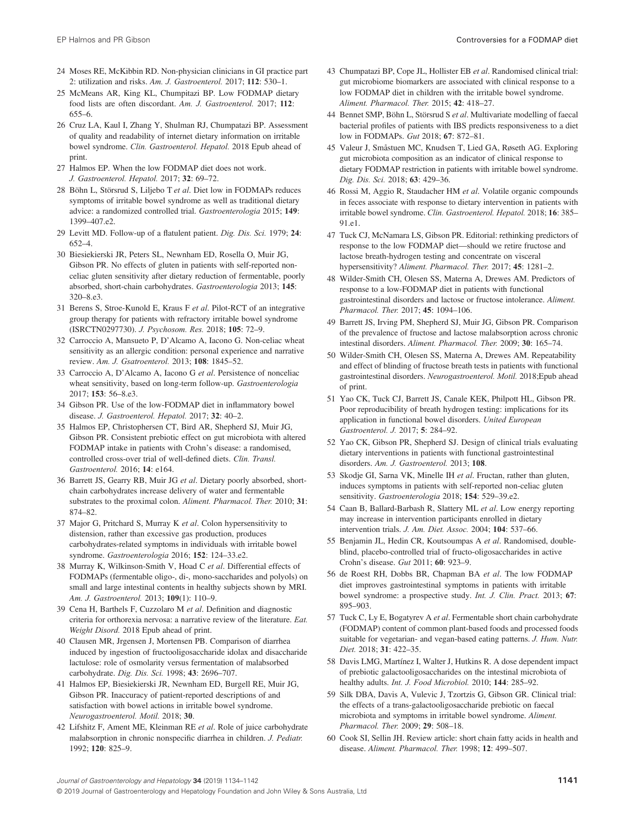- 24 Moses RE, McKibbin RD. Non-physician clinicians in GI practice part 2: utilization and risks. Am. J. Gastroenterol. 2017; 112: 530–1.
- 25 McMeans AR, King KL, Chumpitazi BP. Low FODMAP dietary food lists are often discordant. Am. J. Gastroenterol. 2017; 112: 655–6.
- 26 Cruz LA, Kaul I, Zhang Y, Shulman RJ, Chumpatazi BP. Assessment of quality and readability of internet dietary information on irritable bowel syndrome. Clin. Gastroenterol. Hepatol. 2018 Epub ahead of print.
- 27 Halmos EP. When the low FODMAP diet does not work. J. Gastroenterol. Hepatol. 2017; 32: 69–72.
- 28 Böhn L, Störsrud S, Liljebo T et al. Diet low in FODMAPs reduces symptoms of irritable bowel syndrome as well as traditional dietary advice: a randomized controlled trial. Gastroenterologia 2015; 149: 1399–407.e2.
- 29 Levitt MD. Follow-up of a flatulent patient. Dig. Dis. Sci. 1979; 24: 652–4.
- 30 Biesiekierski JR, Peters SL, Newnham ED, Rosella O, Muir JG, Gibson PR. No effects of gluten in patients with self-reported nonceliac gluten sensitivity after dietary reduction of fermentable, poorly absorbed, short-chain carbohydrates. Gastroenterologia 2013; 145: 320–8.e3.
- 31 Berens S, Stroe-Kunold E, Kraus F et al. Pilot-RCT of an integrative group therapy for patients with refractory irritable bowel syndrome (ISRCTN0297730). J. Psychosom. Res. 2018; 105: 72–9.
- 32 Carroccio A, Mansueto P, D'Alcamo A, Iacono G. Non-celiac wheat sensitivity as an allergic condition: personal experience and narrative review. Am. J. Gsatroenterol. 2013; 108: 1845–52.
- 33 Carroccio A, D'Alcamo A, Iacono G et al. Persistence of nonceliac wheat sensitivity, based on long-term follow-up. Gastroenterologia 2017; 153: 56–8.e3.
- 34 Gibson PR. Use of the low-FODMAP diet in inflammatory bowel disease. J. Gastroenterol. Hepatol. 2017; 32: 40–2.
- 35 Halmos EP, Christophersen CT, Bird AR, Shepherd SJ, Muir JG, Gibson PR. Consistent prebiotic effect on gut microbiota with altered FODMAP intake in patients with Crohn's disease: a randomised, controlled cross-over trial of well-defined diets. Clin. Transl. Gastroenterol. 2016; 14: e164.
- 36 Barrett JS, Gearry RB, Muir JG et al. Dietary poorly absorbed, shortchain carbohydrates increase delivery of water and fermentable substrates to the proximal colon. Aliment. Pharmacol. Ther. 2010; 31: 874–82.
- 37 Major G, Pritchard S, Murray K et al. Colon hypersensitivity to distension, rather than excessive gas production, produces carbohydrates-related symptoms in individuals with irritable bowel syndrome. Gastroenterologia 2016; 152: 124–33.e2.
- 38 Murray K, Wilkinson-Smith V, Hoad C et al. Differential effects of FODMAPs (fermentable oligo-, di-, mono-saccharides and polyols) on small and large intestinal contents in healthy subjects shown by MRI. Am. J. Gastroenterol. 2013; 109(1): 110–9.
- 39 Cena H, Barthels F, Cuzzolaro M et al. Definition and diagnostic criteria for orthorexia nervosa: a narrative review of the literature. Eat. Weight Disord. 2018 Epub ahead of print.
- 40 Clausen MR, Jrgensen J, Mortensen PB. Comparison of diarrhea induced by ingestion of fructooligosaccharide idolax and disaccharide lactulose: role of osmolarity versus fermentation of malabsorbed carbohydrate. Dig. Dis. Sci. 1998; 43: 2696–707.
- 41 Halmos EP, Biesiekierski JR, Newnham ED, Burgell RE, Muir JG, Gibson PR. Inaccuracy of patient-reported descriptions of and satisfaction with bowel actions in irritable bowel syndrome. Neurogastroenterol. Motil. 2018; 30.
- 42 Lifshitz F, Ament ME, Kleinman RE et al. Role of juice carbohydrate malabsorption in chronic nonspecific diarrhea in children. J. Pediatr. 1992; 120: 825–9.
- 43 Chumpatazi BP, Cope JL, Hollister EB et al. Randomised clinical trial: gut microbiome biomarkers are associated with clinical response to a low FODMAP diet in children with the irritable bowel syndrome. Aliment. Pharmacol. Ther. 2015; 42: 418–27.
- 44 Bennet SMP, Böhn L, Störsrud S et al. Multivariate modelling of faecal bacterial profiles of patients with IBS predicts responsiveness to a diet low in FODMAPs. Gut 2018; 67: 872–81.
- 45 Valeur J, Småstuen MC, Knudsen T, Lied GA, Røseth AG. Exploring gut microbiota composition as an indicator of clinical response to dietary FODMAP restriction in patients with irritable bowel syndrome. Dig. Dis. Sci. 2018; 63: 429–36.
- 46 Rossi M, Aggio R, Staudacher HM et al. Volatile organic compounds in feces associate with response to dietary intervention in patients with irritable bowel syndrome. Clin. Gastroenterol. Hepatol. 2018; 16: 385– 91.e1.
- 47 Tuck CJ, McNamara LS, Gibson PR. Editorial: rethinking predictors of response to the low FODMAP diet—should we retire fructose and lactose breath-hydrogen testing and concentrate on visceral hypersensitivity? Aliment. Pharmacol. Ther. 2017; 45: 1281–2.
- 48 Wilder-Smith CH, Olesen SS, Materna A, Drewes AM. Predictors of response to a low-FODMAP diet in patients with functional gastrointestinal disorders and lactose or fructose intolerance. Aliment. Pharmacol. Ther. 2017; 45: 1094–106.
- 49 Barrett JS, Irving PM, Shepherd SJ, Muir JG, Gibson PR. Comparison of the prevalence of fructose and lactose malabsorption across chronic intestinal disorders. Aliment. Pharmacol. Ther. 2009; 30: 165–74.
- 50 Wilder-Smith CH, Olesen SS, Materna A, Drewes AM. Repeatability and effect of blinding of fructose breath tests in patients with functional gastrointestinal disorders. Neurogastroenterol. Motil. 2018;Epub ahead of print.
- 51 Yao CK, Tuck CJ, Barrett JS, Canale KEK, Philpott HL, Gibson PR. Poor reproducibility of breath hydrogen testing: implications for its application in functional bowel disorders. United European Gastroenterol. J. 2017; 5: 284–92.
- 52 Yao CK, Gibson PR, Shepherd SJ. Design of clinical trials evaluating dietary interventions in patients with functional gastrointestinal disorders. Am. J. Gastroenterol. 2013; 108.
- 53 Skodje GI, Sarna VK, Minelle IH et al. Fructan, rather than gluten, induces symptoms in patients with self-reported non-celiac gluten sensitivity. Gastroenterologia 2018; 154: 529–39.e2.
- 54 Caan B, Ballard-Barbash R, Slattery ML et al. Low energy reporting may increase in intervention participants enrolled in dietary intervention trials. J. Am. Diet. Assoc. 2004; 104: 537–66.
- 55 Benjamin JL, Hedin CR, Koutsoumpas A et al. Randomised, doubleblind, placebo-controlled trial of fructo-oligosaccharides in active Crohn's disease. Gut 2011; 60: 923–9.
- 56 de Roest RH, Dobbs BR, Chapman BA et al. The low FODMAP diet improves gastrointestinal symptoms in patients with irritable bowel syndrome: a prospective study. Int. J. Clin. Pract. 2013; 67: 895–903.
- 57 Tuck C, Ly E, Bogatyrev A et al. Fermentable short chain carbohydrate (FODMAP) content of common plant-based foods and processed foods suitable for vegetarian- and vegan-based eating patterns. J. Hum. Nutr. Diet. 2018; 31: 422–35.
- 58 Davis LMG, Martínez I, Walter J, Hutkins R. A dose dependent impact of prebiotic galactooligosaccharides on the intestinal microbiota of healthy adults. Int. J. Food Microbiol. 2010; 144: 285-92.
- 59 Silk DBA, Davis A, Vulevic J, Tzortzis G, Gibson GR. Clinical trial: the effects of a trans-galactooligosaccharide prebiotic on faecal microbiota and symptoms in irritable bowel syndrome. Aliment. Pharmacol. Ther. 2009; 29: 508–18.
- 60 Cook SI, Sellin JH. Review article: short chain fatty acids in health and disease. Aliment. Pharmacol. Ther. 1998; 12: 499–507.